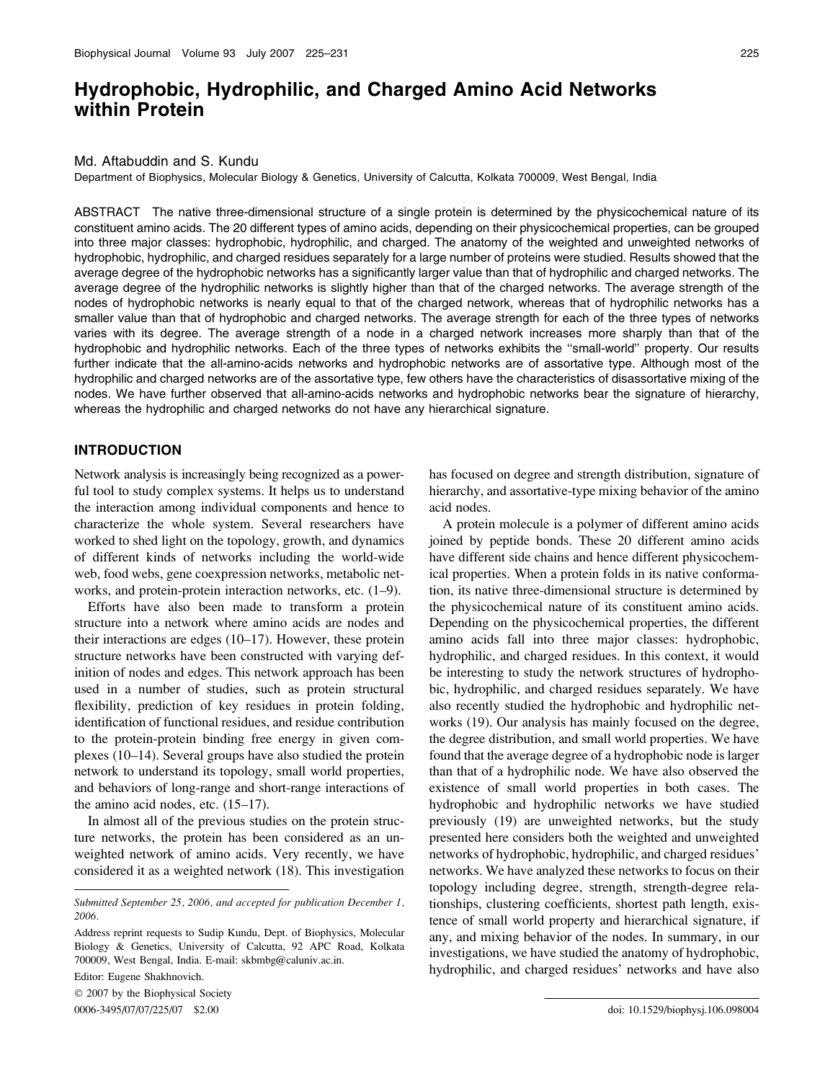# Hydrophobic, Hydrophilic, and Charged Amino Acid Networks within Protein

#### Md. Aftabuddin and S. Kundu

Department of Biophysics, Molecular Biology & Genetics, University of Calcutta, Kolkata 700009, West Bengal, India

ABSTRACT The native three-dimensional structure of a single protein is determined by the physicochemical nature of its constituent amino acids. The 20 different types of amino acids, depending on their physicochemical properties, can be grouped into three major classes: hydrophobic, hydrophilic, and charged. The anatomy of the weighted and unweighted networks of hydrophobic, hydrophilic, and charged residues separately for a large number of proteins were studied. Results showed that the average degree of the hydrophobic networks has a significantly larger value than that of hydrophilic and charged networks. The average degree of the hydrophilic networks is slightly higher than that of the charged networks. The average strength of the nodes of hydrophobic networks is nearly equal to that of the charged network, whereas that of hydrophilic networks has a smaller value than that of hydrophobic and charged networks. The average strength for each of the three types of networks varies with its degree. The average strength of a node in a charged network increases more sharply than that of the hydrophobic and hydrophilic networks. Each of the three types of networks exhibits the ''small-world'' property. Our results further indicate that the all-amino-acids networks and hydrophobic networks are of assortative type. Although most of the hydrophilic and charged networks are of the assortative type, few others have the characteristics of disassortative mixing of the nodes. We have further observed that all-amino-acids networks and hydrophobic networks bear the signature of hierarchy, whereas the hydrophilic and charged networks do not have any hierarchical signature.

## INTRODUCTION

Network analysis is increasingly being recognized as a powerful tool to study complex systems. It helps us to understand the interaction among individual components and hence to characterize the whole system. Several researchers have worked to shed light on the topology, growth, and dynamics of different kinds of networks including the world-wide web, food webs, gene coexpression networks, metabolic networks, and protein-protein interaction networks, etc. (1–9).

Efforts have also been made to transform a protein structure into a network where amino acids are nodes and their interactions are edges (10–17). However, these protein structure networks have been constructed with varying definition of nodes and edges. This network approach has been used in a number of studies, such as protein structural flexibility, prediction of key residues in protein folding, identification of functional residues, and residue contribution to the protein-protein binding free energy in given complexes (10–14). Several groups have also studied the protein network to understand its topology, small world properties, and behaviors of long-range and short-range interactions of the amino acid nodes, etc. (15–17).

In almost all of the previous studies on the protein structure networks, the protein has been considered as an unweighted network of amino acids. Very recently, we have considered it as a weighted network (18). This investigation

Editor: Eugene Shakhnovich.

 $© 2007$  by the Biophysical Society 0006-3495/07/07/225/07 \$2.00 doi: 10.1529/biophysj.106.098004

has focused on degree and strength distribution, signature of hierarchy, and assortative-type mixing behavior of the amino acid nodes.

A protein molecule is a polymer of different amino acids joined by peptide bonds. These 20 different amino acids have different side chains and hence different physicochemical properties. When a protein folds in its native conformation, its native three-dimensional structure is determined by the physicochemical nature of its constituent amino acids. Depending on the physicochemical properties, the different amino acids fall into three major classes: hydrophobic, hydrophilic, and charged residues. In this context, it would be interesting to study the network structures of hydrophobic, hydrophilic, and charged residues separately. We have also recently studied the hydrophobic and hydrophilic networks (19). Our analysis has mainly focused on the degree, the degree distribution, and small world properties. We have found that the average degree of a hydrophobic node is larger than that of a hydrophilic node. We have also observed the existence of small world properties in both cases. The hydrophobic and hydrophilic networks we have studied previously (19) are unweighted networks, but the study presented here considers both the weighted and unweighted networks of hydrophobic, hydrophilic, and charged residues' networks. We have analyzed these networks to focus on their topology including degree, strength, strength-degree relationships, clustering coefficients, shortest path length, existence of small world property and hierarchical signature, if any, and mixing behavior of the nodes. In summary, in our investigations, we have studied the anatomy of hydrophobic, hydrophilic, and charged residues' networks and have also

Submitted September 25, 2006, and accepted for publication December 1, 2006.

Address reprint requests to Sudip Kundu, Dept. of Biophysics, Molecular Biology & Genetics, University of Calcutta, 92 APC Road, Kolkata 700009, West Bengal, India. E-mail: skbmbg@caluniv.ac.in.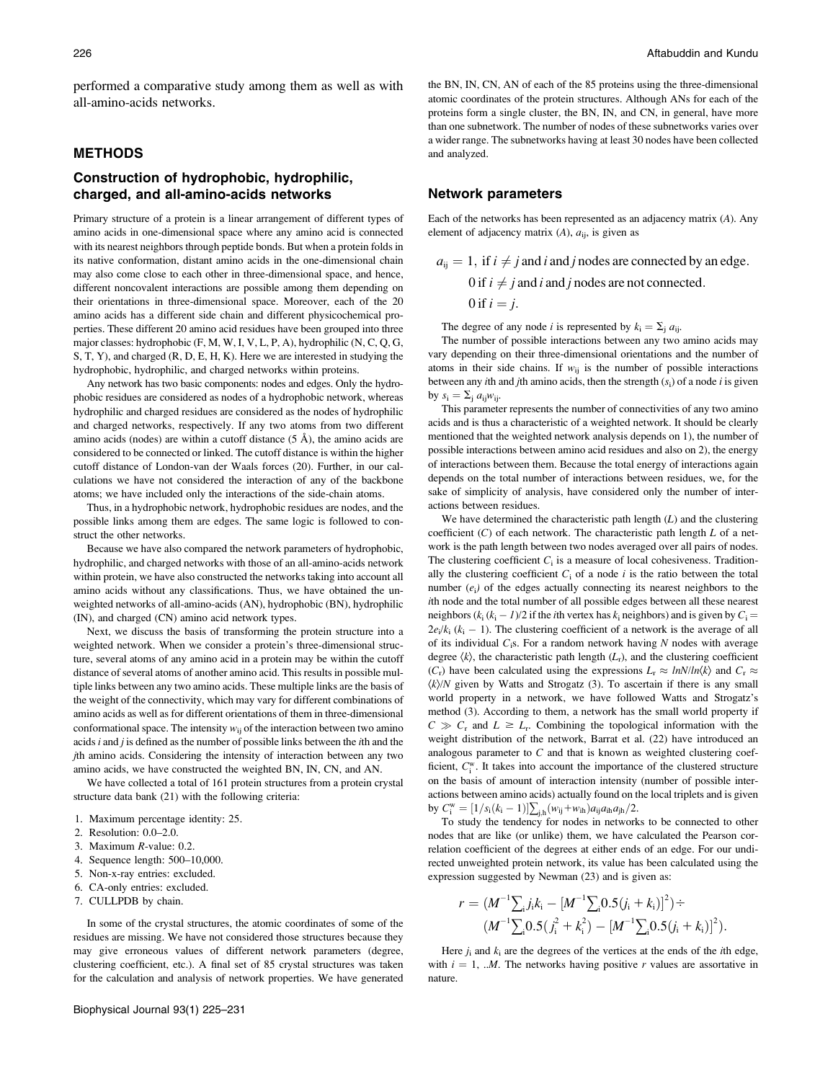performed a comparative study among them as well as with all-amino-acids networks.

# METHODS

## Construction of hydrophobic, hydrophilic, charged, and all-amino-acids networks

Primary structure of a protein is a linear arrangement of different types of amino acids in one-dimensional space where any amino acid is connected with its nearest neighbors through peptide bonds. But when a protein folds in its native conformation, distant amino acids in the one-dimensional chain may also come close to each other in three-dimensional space, and hence, different noncovalent interactions are possible among them depending on their orientations in three-dimensional space. Moreover, each of the 20 amino acids has a different side chain and different physicochemical properties. These different 20 amino acid residues have been grouped into three major classes: hydrophobic (F, M, W, I, V, L, P, A), hydrophilic (N, C, Q, G, S, T, Y), and charged (R, D, E, H, K). Here we are interested in studying the hydrophobic, hydrophilic, and charged networks within proteins.

Any network has two basic components: nodes and edges. Only the hydrophobic residues are considered as nodes of a hydrophobic network, whereas hydrophilic and charged residues are considered as the nodes of hydrophilic and charged networks, respectively. If any two atoms from two different amino acids (nodes) are within a cutoff distance  $(5 \text{ Å})$ , the amino acids are considered to be connected or linked. The cutoff distance is within the higher cutoff distance of London-van der Waals forces (20). Further, in our calculations we have not considered the interaction of any of the backbone atoms; we have included only the interactions of the side-chain atoms.

Thus, in a hydrophobic network, hydrophobic residues are nodes, and the possible links among them are edges. The same logic is followed to construct the other networks.

Because we have also compared the network parameters of hydrophobic, hydrophilic, and charged networks with those of an all-amino-acids network within protein, we have also constructed the networks taking into account all amino acids without any classifications. Thus, we have obtained the unweighted networks of all-amino-acids (AN), hydrophobic (BN), hydrophilic (IN), and charged (CN) amino acid network types.

Next, we discuss the basis of transforming the protein structure into a weighted network. When we consider a protein's three-dimensional structure, several atoms of any amino acid in a protein may be within the cutoff distance of several atoms of another amino acid. This results in possible multiple links between any two amino acids. These multiple links are the basis of the weight of the connectivity, which may vary for different combinations of amino acids as well as for different orientations of them in three-dimensional conformational space. The intensity  $w_{ij}$  of the interaction between two amino acids  $i$  and  $j$  is defined as the number of possible links between the  $i$ th and the jth amino acids. Considering the intensity of interaction between any two amino acids, we have constructed the weighted BN, IN, CN, and AN.

We have collected a total of 161 protein structures from a protein crystal structure data bank (21) with the following criteria:

- 1. Maximum percentage identity: 25.
- 2. Resolution: 0.0–2.0.
- 3. Maximum R-value: 0.2.
- 4. Sequence length: 500–10,000.
- 5. Non-x-ray entries: excluded.
- 6. CA-only entries: excluded.
- 7. CULLPDB by chain.

In some of the crystal structures, the atomic coordinates of some of the residues are missing. We have not considered those structures because they may give erroneous values of different network parameters (degree, clustering coefficient, etc.). A final set of 85 crystal structures was taken for the calculation and analysis of network properties. We have generated the BN, IN, CN, AN of each of the 85 proteins using the three-dimensional atomic coordinates of the protein structures. Although ANs for each of the proteins form a single cluster, the BN, IN, and CN, in general, have more than one subnetwork. The number of nodes of these subnetworks varies over a wider range. The subnetworks having at least 30 nodes have been collected and analyzed.

#### Network parameters

Each of the networks has been represented as an adjacency matrix (A). Any element of adjacency matrix  $(A)$ ,  $a_{ii}$ , is given as

$$
a_{ij} = 1
$$
, if  $i \neq j$  and *i* and *j* nodes are connected by an edge.  
0 if  $i \neq j$  and *i* and *j* nodes are not connected.  
0 if  $i = j$ .

The degree of any node *i* is represented by  $k_i = \sum_i a_{ij}$ .

The number of possible interactions between any two amino acids may vary depending on their three-dimensional orientations and the number of atoms in their side chains. If  $w_{ij}$  is the number of possible interactions between any *i*th and *j*th amino acids, then the strength  $(s<sub>i</sub>)$  of a node *i* is given by  $s_i = \sum_i a_{ii} w_{ii}$ .

This parameter represents the number of connectivities of any two amino acids and is thus a characteristic of a weighted network. It should be clearly mentioned that the weighted network analysis depends on 1), the number of possible interactions between amino acid residues and also on 2), the energy of interactions between them. Because the total energy of interactions again depends on the total number of interactions between residues, we, for the sake of simplicity of analysis, have considered only the number of interactions between residues.

We have determined the characteristic path length  $(L)$  and the clustering coefficient  $(C)$  of each network. The characteristic path length  $L$  of a network is the path length between two nodes averaged over all pairs of nodes. The clustering coefficient  $C_i$  is a measure of local cohesiveness. Traditionally the clustering coefficient  $C_i$  of a node i is the ratio between the total number  $(e_i)$  of the edges actually connecting its nearest neighbors to the ith node and the total number of all possible edges between all these nearest neighbors ( $k_i$  ( $k_i - 1$ )/2 if the *i*th vertex has  $k_i$  neighbors) and is given by  $C_i$  =  $2e_i/k_i$  ( $k_i - 1$ ). The clustering coefficient of a network is the average of all of its individual  $C_i$ s. For a random network having N nodes with average degree  $\langle k \rangle$ , the characteristic path length  $(L_r)$ , and the clustering coefficient  $(C_r)$  have been calculated using the expressions  $L_r \approx lnN/ln \langle k \rangle$  and  $C_r \approx$  $\langle k \rangle$ /N given by Watts and Strogatz (3). To ascertain if there is any small world property in a network, we have followed Watts and Strogatz's method (3). According to them, a network has the small world property if  $C \gg C_r$  and  $L \geq L_r$ . Combining the topological information with the weight distribution of the network, Barrat et al. (22) have introduced an analogous parameter to  $C$  and that is known as weighted clustering coefficient,  $C_i^w$ . It takes into account the importance of the clustered structure on the basis of amount of interaction intensity (number of possible interactions between amino acids) actually found on the local triplets and is given by  $C_i^w = [1/s_i(k_i - 1)] \sum_{j,h} (w_{ij} + w_{ih}) a_{ij} a_{ih} a_{jh}/2.$ 

To study the tendency for nodes in networks to be connected to other nodes that are like (or unlike) them, we have calculated the Pearson correlation coefficient of the degrees at either ends of an edge. For our undirected unweighted protein network, its value has been calculated using the expression suggested by Newman (23) and is given as:

$$
r = (M^{-1} \sum_{i} j_{i} k_{i} - [M^{-1} \sum_{i} 0.5(j_{i} + k_{i})]^{2}) \div (M^{-1} \sum_{i} 0.5(j_{i}^{2} + k_{i}^{2}) - [M^{-1} \sum_{i} 0.5(j_{i} + k_{i})]^{2}).
$$

Here  $j_i$  and  $k_i$  are the degrees of the vertices at the ends of the *i*th edge, with  $i = 1, ...M$ . The networks having positive r values are assortative in nature.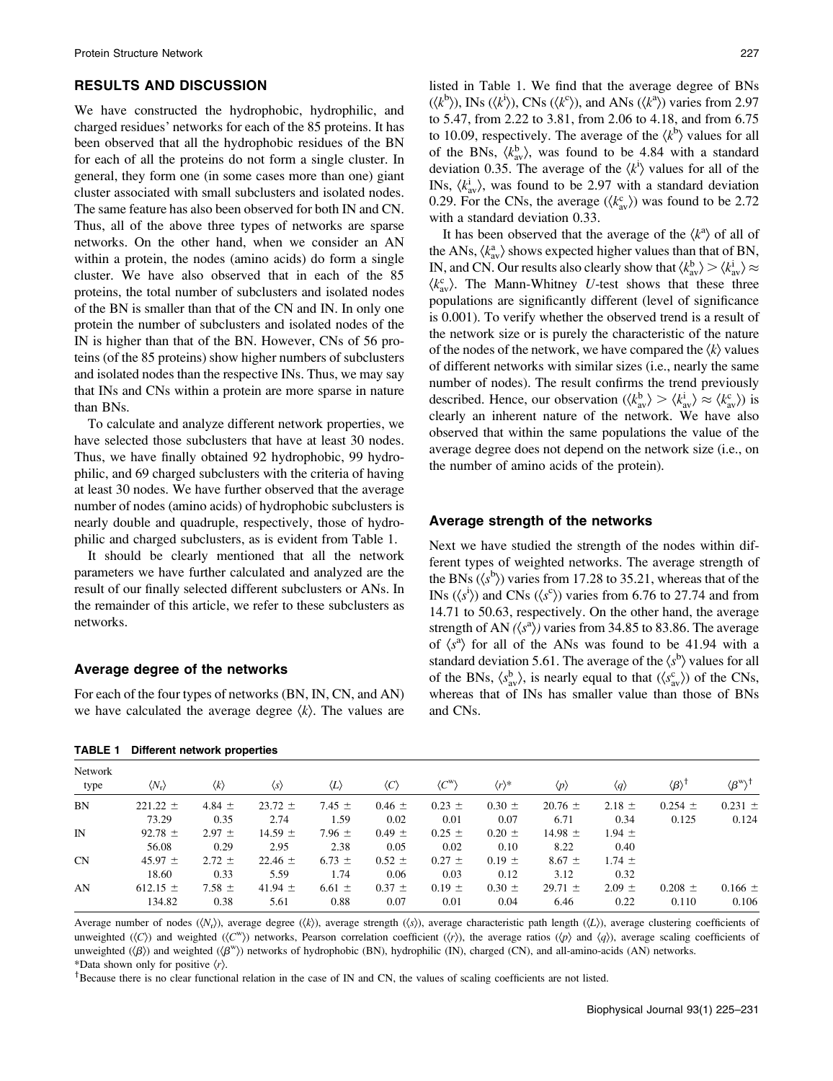#### RESULTS AND DISCUSSION

We have constructed the hydrophobic, hydrophilic, and charged residues' networks for each of the 85 proteins. It has been observed that all the hydrophobic residues of the BN for each of all the proteins do not form a single cluster. In general, they form one (in some cases more than one) giant cluster associated with small subclusters and isolated nodes. The same feature has also been observed for both IN and CN. Thus, all of the above three types of networks are sparse networks. On the other hand, when we consider an AN within a protein, the nodes (amino acids) do form a single cluster. We have also observed that in each of the 85 proteins, the total number of subclusters and isolated nodes of the BN is smaller than that of the CN and IN. In only one protein the number of subclusters and isolated nodes of the IN is higher than that of the BN. However, CNs of 56 proteins (of the 85 proteins) show higher numbers of subclusters and isolated nodes than the respective INs. Thus, we may say that INs and CNs within a protein are more sparse in nature than BNs.

To calculate and analyze different network properties, we have selected those subclusters that have at least 30 nodes. Thus, we have finally obtained 92 hydrophobic, 99 hydrophilic, and 69 charged subclusters with the criteria of having at least 30 nodes. We have further observed that the average number of nodes (amino acids) of hydrophobic subclusters is nearly double and quadruple, respectively, those of hydrophilic and charged subclusters, as is evident from Table 1.

It should be clearly mentioned that all the network parameters we have further calculated and analyzed are the result of our finally selected different subclusters or ANs. In the remainder of this article, we refer to these subclusters as networks.

#### Average degree of the networks

For each of the four types of networks (BN, IN, CN, and AN) we have calculated the average degree  $\langle k \rangle$ . The values are

TABLE 1 Different network properties

listed in Table 1. We find that the average degree of BNs  $(\langle k^b \rangle)$ , INs  $(\langle k^i \rangle)$ , CNs  $(\langle k^c \rangle)$ , and ANs  $(\langle k^a \rangle)$  varies from 2.97 to 5.47, from 2.22 to 3.81, from 2.06 to 4.18, and from 6.75 to 10.09, respectively. The average of the  $\langle k^b \rangle$  values for all of the BNs,  $\langle k_{av}^{b} \rangle$ , was found to be 4.84 with a standard deviation 0.35. The average of the  $\langle k^i \rangle$  values for all of the INs,  $\langle k_{av}^{i} \rangle$ , was found to be 2.97 with a standard deviation 0.29. For the CNs, the average  $(\langle k_{av}^c \rangle)$  was found to be 2.72 with a standard deviation 0.33.

It has been observed that the average of the  $\langle k^a \rangle$  of all of the ANs,  $\langle k^a_{av} \rangle$  shows expected higher values than that of BN, IN, and CN. Our results also clearly show that  $\langle k_{av}^{b} \rangle > \langle k_{av}^{i} \rangle \approx$  $\langle k_{av}^{\rm c} \rangle$ . The Mann-Whitney U-test shows that these three populations are significantly different (level of significance is 0.001). To verify whether the observed trend is a result of the network size or is purely the characteristic of the nature of the nodes of the network, we have compared the  $\langle k \rangle$  values of different networks with similar sizes (i.e., nearly the same number of nodes). The result confirms the trend previously described. Hence, our observation ( $\langle k_{av}^b \rangle > \langle k_{av}^i \rangle \approx \langle k_{av}^c \rangle$ ) is clearly an inherent nature of the network. We have also observed that within the same populations the value of the average degree does not depend on the network size (i.e., on the number of amino acids of the protein).

#### Average strength of the networks

Next we have studied the strength of the nodes within different types of weighted networks. The average strength of the BNs  $(\langle s^b \rangle)$  varies from 17.28 to 35.21, whereas that of the INs  $(\langle s^i \rangle)$  and CNs  $(\langle s^c \rangle)$  varies from 6.76 to 27.74 and from 14.71 to 50.63, respectively. On the other hand, the average strength of AN  $(\langle s^a \rangle)$  varies from 34.85 to 83.86. The average of  $\langle s^a \rangle$  for all of the ANs was found to be 41.94 with a standard deviation 5.61. The average of the  $\langle s^b \rangle$  values for all of the BNs,  $\langle s_{av}^{b} \rangle$ , is nearly equal to that  $(\langle s_{av}^{c} \rangle)$  of the CNs, whereas that of INs has smaller value than those of BNs and CNs.

| Network<br>type | $\langle N_r \rangle$ | $\langle k \rangle$ | $\langle s \rangle$ | $\langle L \rangle$ | $\langle C \rangle$ | $\langle C^{\rm w} \rangle$ | $\langle r \rangle^*$ | $\langle p \rangle$ | $\langle q \rangle$ | $\langle \beta \rangle^\dagger$ | $\langle \beta^w \rangle^1$ |
|-----------------|-----------------------|---------------------|---------------------|---------------------|---------------------|-----------------------------|-----------------------|---------------------|---------------------|---------------------------------|-----------------------------|
| <b>BN</b>       | $221.22 \pm$          | 4.84 $\pm$          | $23.72 \pm$         | 7.45 $\pm$          | $0.46 \pm$          | $0.23 \pm$                  | $0.30 \pm$            | $20.76 \pm$         | $2.18 \pm$          | $0.254 \pm$                     | $0.231 \pm$                 |
|                 | 73.29                 | 0.35                | 2.74                | 1.59                | 0.02                | 0.01                        | 0.07                  | 6.71                | 0.34                | 0.125                           | 0.124                       |
| IN              | $92.78 \pm$           | $2.97 \pm$          | $14.59 \pm$         | 7.96 $\pm$          | $0.49 \pm$          | $0.25 \pm$                  | $0.20 \pm$            | $14.98 \pm$         | $1.94 \pm$          |                                 |                             |
|                 | 56.08                 | 0.29                | 2.95                | 2.38                | 0.05                | 0.02                        | 0.10                  | 8.22                | 0.40                |                                 |                             |
| <b>CN</b>       | 45.97 $\pm$           | $2.72 \pm$          | $22.46 \pm$         | $6.73 \pm$          | $0.52 \pm$          | $0.27 \pm$                  | $0.19 \pm$            | $8.67 \pm$          | $1.74 \pm$          |                                 |                             |
|                 | 18.60                 | 0.33                | 5.59                | 1.74                | 0.06                | 0.03                        | 0.12                  | 3.12                | 0.32                |                                 |                             |
| AN              | 612.15 $\pm$          | 7.58 $\pm$          | 41.94 $\pm$         | 6.61 $\pm$          | $0.37 \pm$          | $0.19 \pm$                  | $0.30 \pm$            | $29.71 \pm$         | $2.09 \pm$          | $0.208 \pm$                     | $0.166 \pm$                 |
|                 | 134.82                | 0.38                | 5.61                | 0.88                | 0.07                | 0.01                        | 0.04                  | 6.46                | 0.22                | 0.110                           | 0.106                       |

Average number of nodes ( $\langle N_r \rangle$ ), average degree ( $\langle k \rangle$ ), average strength ( $\langle s \rangle$ ), average characteristic path length ( $\langle L \rangle$ ), average clustering coefficients of unweighted ( $\langle C \rangle$ ) and weighted ( $\langle C^{\prime\prime} \rangle$ ) networks, Pearson correlation coefficient ( $\langle r \rangle$ ), the average ratios ( $\langle p \rangle$ ) and  $\langle q \rangle$ ), average scaling coefficients of unweighted  $(\langle \beta \rangle)$  and weighted  $(\langle \beta^w \rangle)$  networks of hydrophobic (BN), hydrophilic (IN), charged (CN), and all-amino-acids (AN) networks. \*Data shown only for positive  $\langle r \rangle$ .

 $B^{\dagger}$ Because there is no clear functional relation in the case of IN and CN, the values of scaling coefficients are not listed.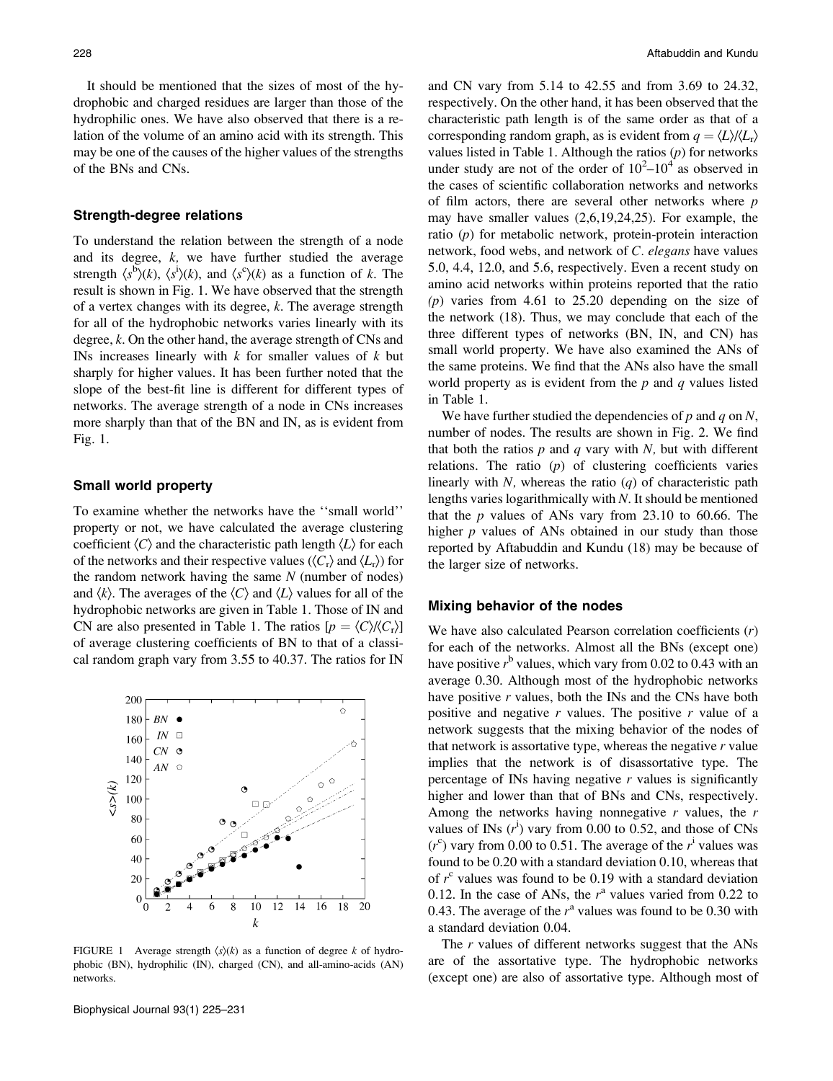It should be mentioned that the sizes of most of the hydrophobic and charged residues are larger than those of the hydrophilic ones. We have also observed that there is a relation of the volume of an amino acid with its strength. This may be one of the causes of the higher values of the strengths of the BNs and CNs.

#### Strength-degree relations

To understand the relation between the strength of a node and its degree, k, we have further studied the average strength  $\langle s^b \rangle$ (k),  $\langle s^i \rangle$ (k), and  $\langle s^c \rangle$ (k) as a function of k. The result is shown in Fig. 1. We have observed that the strength of a vertex changes with its degree,  $k$ . The average strength for all of the hydrophobic networks varies linearly with its degree, k. On the other hand, the average strength of CNs and INs increases linearly with  $k$  for smaller values of  $k$  but sharply for higher values. It has been further noted that the slope of the best-fit line is different for different types of networks. The average strength of a node in CNs increases more sharply than that of the BN and IN, as is evident from Fig. 1.

#### Small world property

To examine whether the networks have the ''small world'' property or not, we have calculated the average clustering coefficient  $\langle C \rangle$  and the characteristic path length  $\langle L \rangle$  for each of the networks and their respective values ( $\langle C_r \rangle$  and  $\langle L_r \rangle$ ) for the random network having the same  $N$  (number of nodes) and  $\langle k \rangle$ . The averages of the  $\langle C \rangle$  and  $\langle L \rangle$  values for all of the hydrophobic networks are given in Table 1. Those of IN and CN are also presented in Table 1. The ratios  $[p = \langle C \rangle / \langle C_r \rangle]$ of average clustering coefficients of BN to that of a classical random graph vary from 3.55 to 40.37. The ratios for IN



FIGURE 1 Average strength  $\langle s \rangle$  (k) as a function of degree k of hydrophobic (BN), hydrophilic (IN), charged (CN), and all-amino-acids (AN) networks.

Biophysical Journal 93(1) 225–231

and CN vary from 5.14 to 42.55 and from 3.69 to 24.32, respectively. On the other hand, it has been observed that the characteristic path length is of the same order as that of a corresponding random graph, as is evident from  $q = \langle L \rangle / \langle L_r \rangle$ values listed in Table 1. Although the ratios  $(p)$  for networks under study are not of the order of  $10^2 - 10^4$  as observed in the cases of scientific collaboration networks and networks of film actors, there are several other networks where  $p$ may have smaller values (2,6,19,24,25). For example, the ratio  $(p)$  for metabolic network, protein-protein interaction network, food webs, and network of C. elegans have values 5.0, 4.4, 12.0, and 5.6, respectively. Even a recent study on amino acid networks within proteins reported that the ratio  $(p)$  varies from 4.61 to 25.20 depending on the size of the network (18). Thus, we may conclude that each of the three different types of networks (BN, IN, and CN) has small world property. We have also examined the ANs of the same proteins. We find that the ANs also have the small world property as is evident from the  $p$  and  $q$  values listed in Table 1.

We have further studied the dependencies of  $p$  and  $q$  on  $N$ , number of nodes. The results are shown in Fig. 2. We find that both the ratios  $p$  and  $q$  vary with  $N$ , but with different relations. The ratio  $(p)$  of clustering coefficients varies linearly with N, whereas the ratio  $(q)$  of characteristic path lengths varies logarithmically with N. It should be mentioned that the  $p$  values of ANs vary from 23.10 to 60.66. The higher  $p$  values of ANs obtained in our study than those reported by Aftabuddin and Kundu (18) may be because of the larger size of networks.

#### Mixing behavior of the nodes

We have also calculated Pearson correlation coefficients  $(r)$ for each of the networks. Almost all the BNs (except one) have positive  $r<sup>b</sup>$  values, which vary from 0.02 to 0.43 with an average 0.30. Although most of the hydrophobic networks have positive r values, both the INs and the CNs have both positive and negative  $r$  values. The positive  $r$  value of a network suggests that the mixing behavior of the nodes of that network is assortative type, whereas the negative  $r$  value implies that the network is of disassortative type. The percentage of INs having negative  $r$  values is significantly higher and lower than that of BNs and CNs, respectively. Among the networks having nonnegative  $r$  values, the  $r$ values of INs  $(r^i)$  vary from 0.00 to 0.52, and those of CNs  $(r<sup>c</sup>)$  vary from 0.00 to 0.51. The average of the  $r<sup>i</sup>$  values was found to be 0.20 with a standard deviation 0.10, whereas that of  $r^c$  values was found to be 0.19 with a standard deviation 0.12. In the case of ANs, the  $r<sup>a</sup>$  values varied from 0.22 to 0.43. The average of the  $r^a$  values was found to be 0.30 with a standard deviation 0.04.

The  $r$  values of different networks suggest that the ANs are of the assortative type. The hydrophobic networks (except one) are also of assortative type. Although most of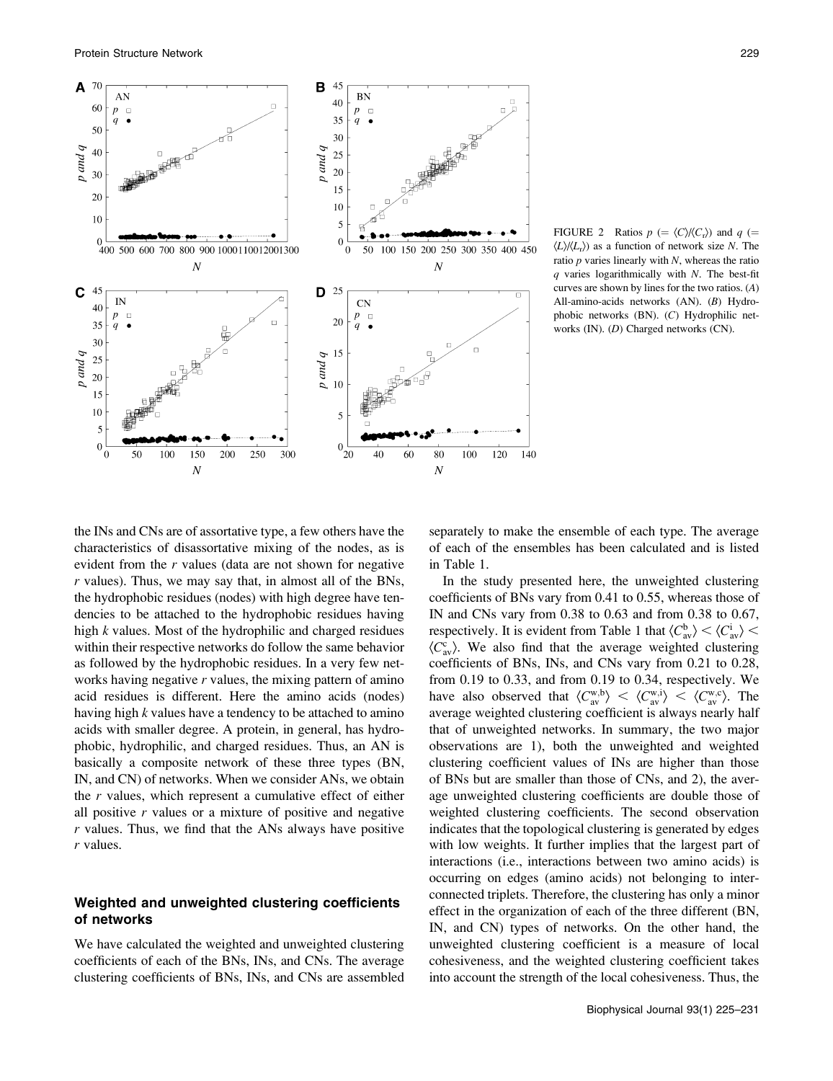

FIGURE 2 Ratios  $p (= \langle C \rangle / \langle C_r \rangle)$  and  $q (=$  $\langle L \rangle / \langle L_r \rangle$  as a function of network size N. The ratio  $p$  varies linearly with  $N$ , whereas the ratio  $q$  varies logarithmically with  $N$ . The best-fit curves are shown by lines for the two ratios. (A) All-amino-acids networks (AN). (B) Hydrophobic networks (BN). (C) Hydrophilic networks (IN). (D) Charged networks (CN).

the INs and CNs are of assortative type, a few others have the characteristics of disassortative mixing of the nodes, as is evident from the r values (data are not shown for negative  $r$  values). Thus, we may say that, in almost all of the BNs, the hydrophobic residues (nodes) with high degree have tendencies to be attached to the hydrophobic residues having high k values. Most of the hydrophilic and charged residues within their respective networks do follow the same behavior as followed by the hydrophobic residues. In a very few networks having negative  $r$  values, the mixing pattern of amino acid residues is different. Here the amino acids (nodes) having high k values have a tendency to be attached to amino acids with smaller degree. A protein, in general, has hydrophobic, hydrophilic, and charged residues. Thus, an AN is basically a composite network of these three types (BN, IN, and CN) of networks. When we consider ANs, we obtain the  $r$  values, which represent a cumulative effect of either all positive  $r$  values or a mixture of positive and negative r values. Thus, we find that the ANs always have positive r values.

## Weighted and unweighted clustering coefficients of networks

We have calculated the weighted and unweighted clustering coefficients of each of the BNs, INs, and CNs. The average clustering coefficients of BNs, INs, and CNs are assembled

separately to make the ensemble of each type. The average of each of the ensembles has been calculated and is listed in Table 1.

In the study presented here, the unweighted clustering coefficients of BNs vary from 0.41 to 0.55, whereas those of IN and CNs vary from 0.38 to 0.63 and from 0.38 to 0.67, respectively. It is evident from Table 1 that  $\langle C_{av}^{b} \rangle < \langle C_{av}^{i} \rangle <$  $\langle C_{\rm av}^{\rm c} \rangle$ . We also find that the average weighted clustering coefficients of BNs, INs, and CNs vary from 0.21 to 0.28, from 0.19 to 0.33, and from 0.19 to 0.34, respectively. We have also observed that  $\langle C_{av}^{w,b} \rangle \langle C_{av}^{w,a} \rangle \langle C_{av}^{w,c} \rangle$ . The average weighted clustering coefficient is always nearly half that of unweighted networks. In summary, the two major observations are 1), both the unweighted and weighted clustering coefficient values of INs are higher than those of BNs but are smaller than those of CNs, and 2), the average unweighted clustering coefficients are double those of weighted clustering coefficients. The second observation indicates that the topological clustering is generated by edges with low weights. It further implies that the largest part of interactions (i.e., interactions between two amino acids) is occurring on edges (amino acids) not belonging to interconnected triplets. Therefore, the clustering has only a minor effect in the organization of each of the three different (BN, IN, and CN) types of networks. On the other hand, the unweighted clustering coefficient is a measure of local cohesiveness, and the weighted clustering coefficient takes into account the strength of the local cohesiveness. Thus, the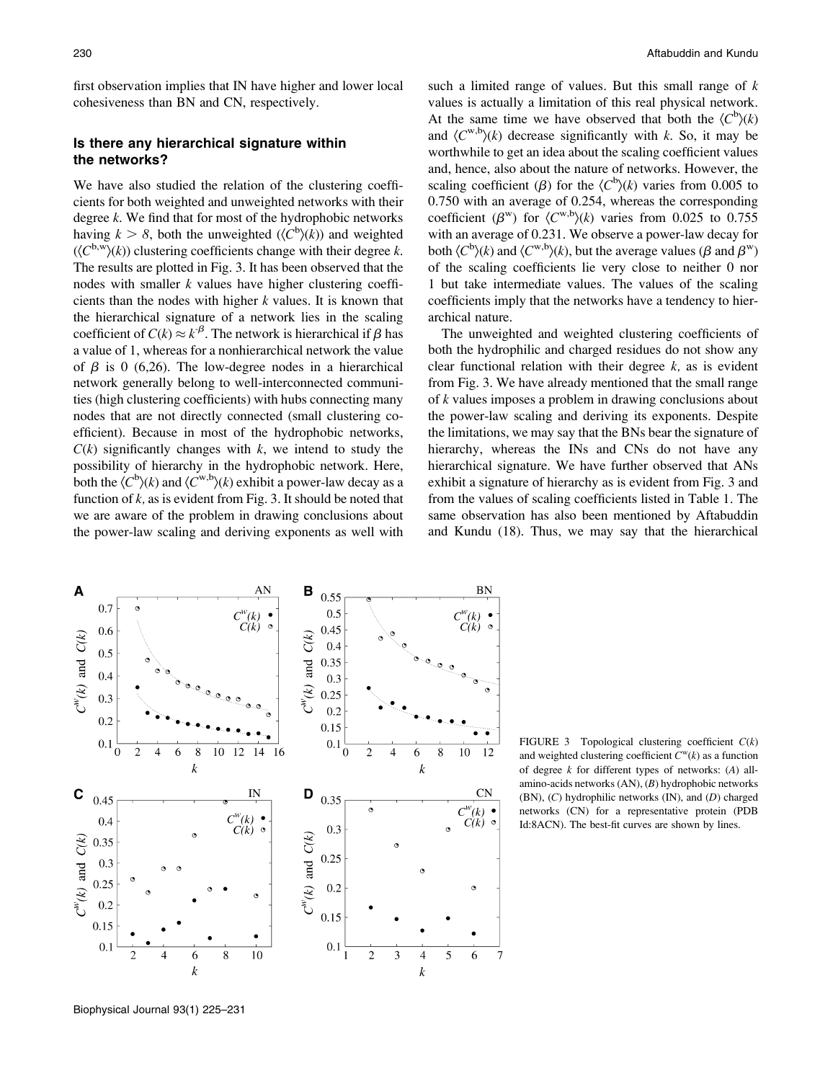first observation implies that IN have higher and lower local cohesiveness than BN and CN, respectively.

## Is there any hierarchical signature within the networks?

We have also studied the relation of the clustering coefficients for both weighted and unweighted networks with their degree k. We find that for most of the hydrophobic networks having  $k > 8$ , both the unweighted  $(\langle C^{b} \rangle(k))$  and weighted  $(\langle C^{b,w} \rangle (k))$  clustering coefficients change with their degree k. The results are plotted in Fig. 3. It has been observed that the nodes with smaller  $k$  values have higher clustering coefficients than the nodes with higher  $k$  values. It is known that the hierarchical signature of a network lies in the scaling coefficient of  $C(k) \approx k^{3}$ . The network is hierarchical if  $\beta$  has a value of 1, whereas for a nonhierarchical network the value of  $\beta$  is 0 (6,26). The low-degree nodes in a hierarchical network generally belong to well-interconnected communities (high clustering coefficients) with hubs connecting many nodes that are not directly connected (small clustering coefficient). Because in most of the hydrophobic networks,  $C(k)$  significantly changes with k, we intend to study the possibility of hierarchy in the hydrophobic network. Here, both the  $\langle C^{b} \rangle (k)$  and  $\langle C^{w,b} \rangle (k)$  exhibit a power-law decay as a function of  $k$ , as is evident from Fig. 3. It should be noted that we are aware of the problem in drawing conclusions about the power-law scaling and deriving exponents as well with such a limited range of values. But this small range of  $k$ values is actually a limitation of this real physical network. At the same time we have observed that both the  $\langle C^b \rangle (k)$ and  $\langle C^{w,b} \rangle$  decrease significantly with k. So, it may be worthwhile to get an idea about the scaling coefficient values and, hence, also about the nature of networks. However, the scaling coefficient ( $\beta$ ) for the  $\langle C^b \rangle$ (k) varies from 0.005 to 0.750 with an average of 0.254, whereas the corresponding coefficient ( $\beta^w$ ) for  $\langle C^{w,b} \rangle$  varies from 0.025 to 0.755 with an average of 0.231. We observe a power-law decay for both  $\langle C^{b} \rangle (k)$  and  $\langle C^{w,b} \rangle (k)$ , but the average values ( $\beta$  and  $\beta^{w}$ ) of the scaling coefficients lie very close to neither 0 nor 1 but take intermediate values. The values of the scaling coefficients imply that the networks have a tendency to hierarchical nature.

The unweighted and weighted clustering coefficients of both the hydrophilic and charged residues do not show any clear functional relation with their degree  $k$ , as is evident from Fig. 3. We have already mentioned that the small range of k values imposes a problem in drawing conclusions about the power-law scaling and deriving its exponents. Despite the limitations, we may say that the BNs bear the signature of hierarchy, whereas the INs and CNs do not have any hierarchical signature. We have further observed that ANs exhibit a signature of hierarchy as is evident from Fig. 3 and from the values of scaling coefficients listed in Table 1. The same observation has also been mentioned by Aftabuddin and Kundu (18). Thus, we may say that the hierarchical



FIGURE 3 Topological clustering coefficient  $C(k)$ and weighted clustering coefficient  $C^w(k)$  as a function of degree  $k$  for different types of networks:  $(A)$  allamino-acids networks (AN), (B) hydrophobic networks (BN), (C) hydrophilic networks (IN), and (D) charged networks (CN) for a representative protein (PDB Id:8ACN). The best-fit curves are shown by lines.